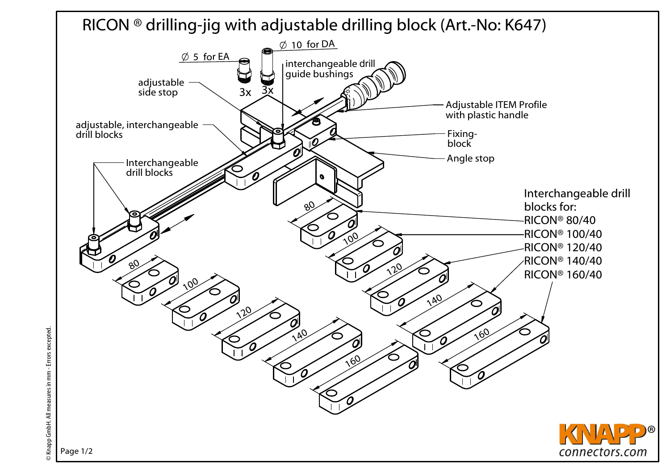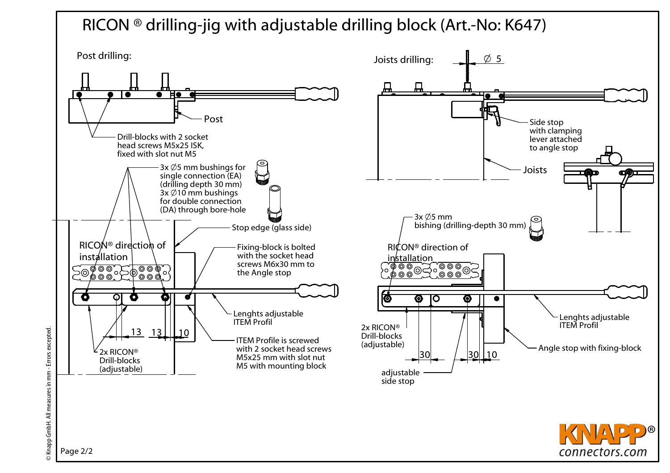## RICON ® drilling-jig with adjustable drilling block (Art.-No: K647)

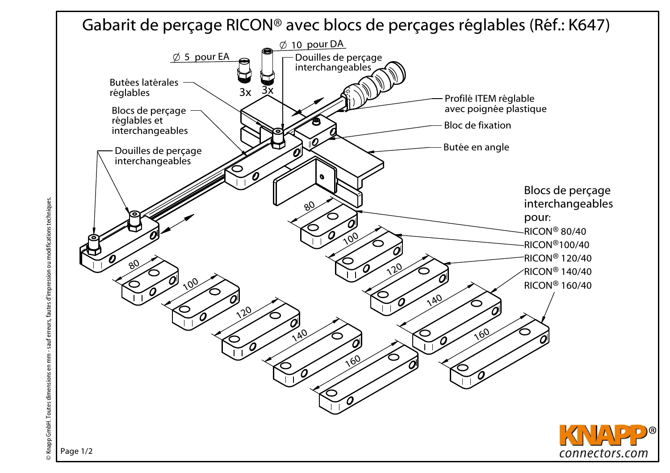Gabarit de perçage RICON® avec blocs de perçages réglables (Réf.: K647)

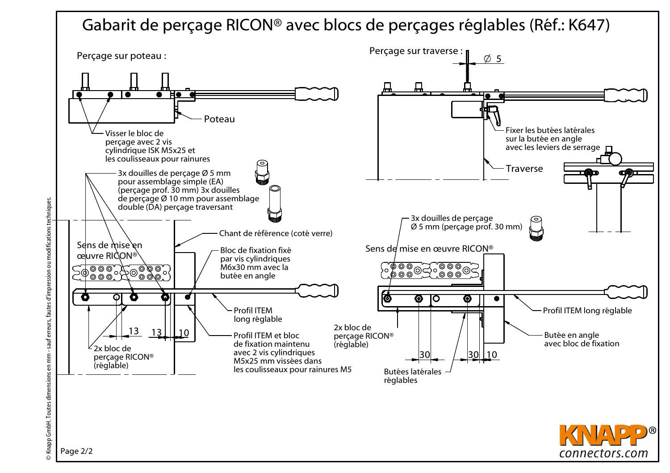## Gabarit de perçage RICON® avec blocs de perçages réglables (Réf.: K647)



Knapp GmbH. Toutes dimensions en mm - sauf erreurs, fautes d'impression ou modifications techniques. © Knapp GmbH. Toutes dimensions en mm - sauf erreurs, fautes d'impression ou modifications techniques.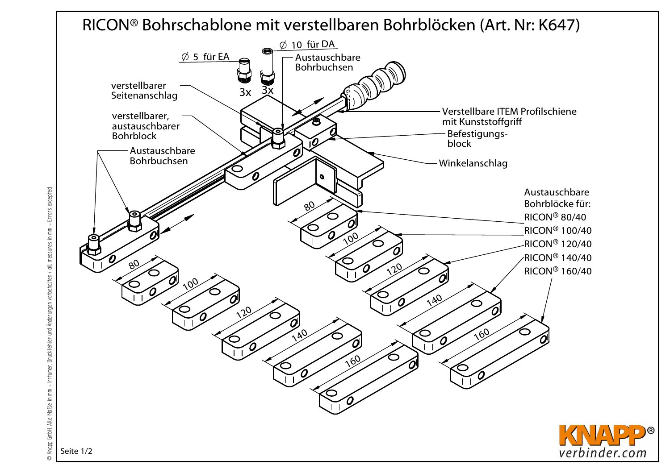## RICON® Bohrschablone mit verstellbaren Bohrblöcken (Art. Nr: K647)